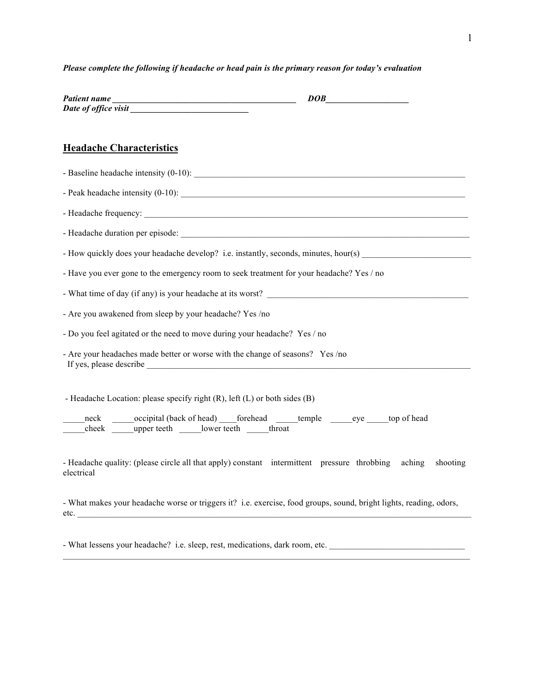## *Please complete the following if headache or head pain is the primary reason for today's evaluation*

| <b>Patient name</b>  | DOB |  |
|----------------------|-----|--|
| Date of office visit |     |  |

## **Headache Characteristics**

- Baseline headache intensity (0-10): - Peak headache intensity (0-10): - Headache frequency: - Headache duration per episode: \_\_\_\_\_\_\_\_\_\_\_\_\_\_\_\_\_\_\_\_\_\_\_\_\_\_\_\_\_\_\_\_\_\_\_\_\_\_\_\_\_\_\_\_\_\_\_\_\_\_\_\_\_\_\_\_\_\_\_\_\_\_\_\_\_\_ - How quickly does your headache develop? i.e. instantly, seconds, minutes, hour(s) - Have you ever gone to the emergency room to seek treatment for your headache? Yes / no - What time of day (if any) is your headache at its worst? - Are you awakened from sleep by your headache? Yes /no - Do you feel agitated or the need to move during your headache? Yes / no - Are your headaches made better or worse with the change of seasons? Yes /no If yes, please describe - Headache Location: please specify right (R), left (L) or both sides (B) \_neck \_\_\_\_\_\_\_occipital (back of head) \_\_\_\_forehead \_\_\_\_\_temple \_\_\_\_\_\_eye \_\_\_\_\_top of head cheek upper teeth lower teeth throat

- Headache quality: (please circle all that apply) constant intermittent pressure throbbing aching shooting electrical

- What makes your headache worse or triggers it? i.e. exercise, food groups, sound, bright lights, reading, odors, etc.

 $\mathcal{L}_\mathcal{L} = \{ \mathcal{L}_\mathcal{L} = \{ \mathcal{L}_\mathcal{L} = \{ \mathcal{L}_\mathcal{L} = \{ \mathcal{L}_\mathcal{L} = \{ \mathcal{L}_\mathcal{L} = \{ \mathcal{L}_\mathcal{L} = \{ \mathcal{L}_\mathcal{L} = \{ \mathcal{L}_\mathcal{L} = \{ \mathcal{L}_\mathcal{L} = \{ \mathcal{L}_\mathcal{L} = \{ \mathcal{L}_\mathcal{L} = \{ \mathcal{L}_\mathcal{L} = \{ \mathcal{L}_\mathcal{L} = \{ \mathcal{L}_\mathcal{$ 

- What lessens your headache? i.e. sleep, rest, medications, dark room, etc.